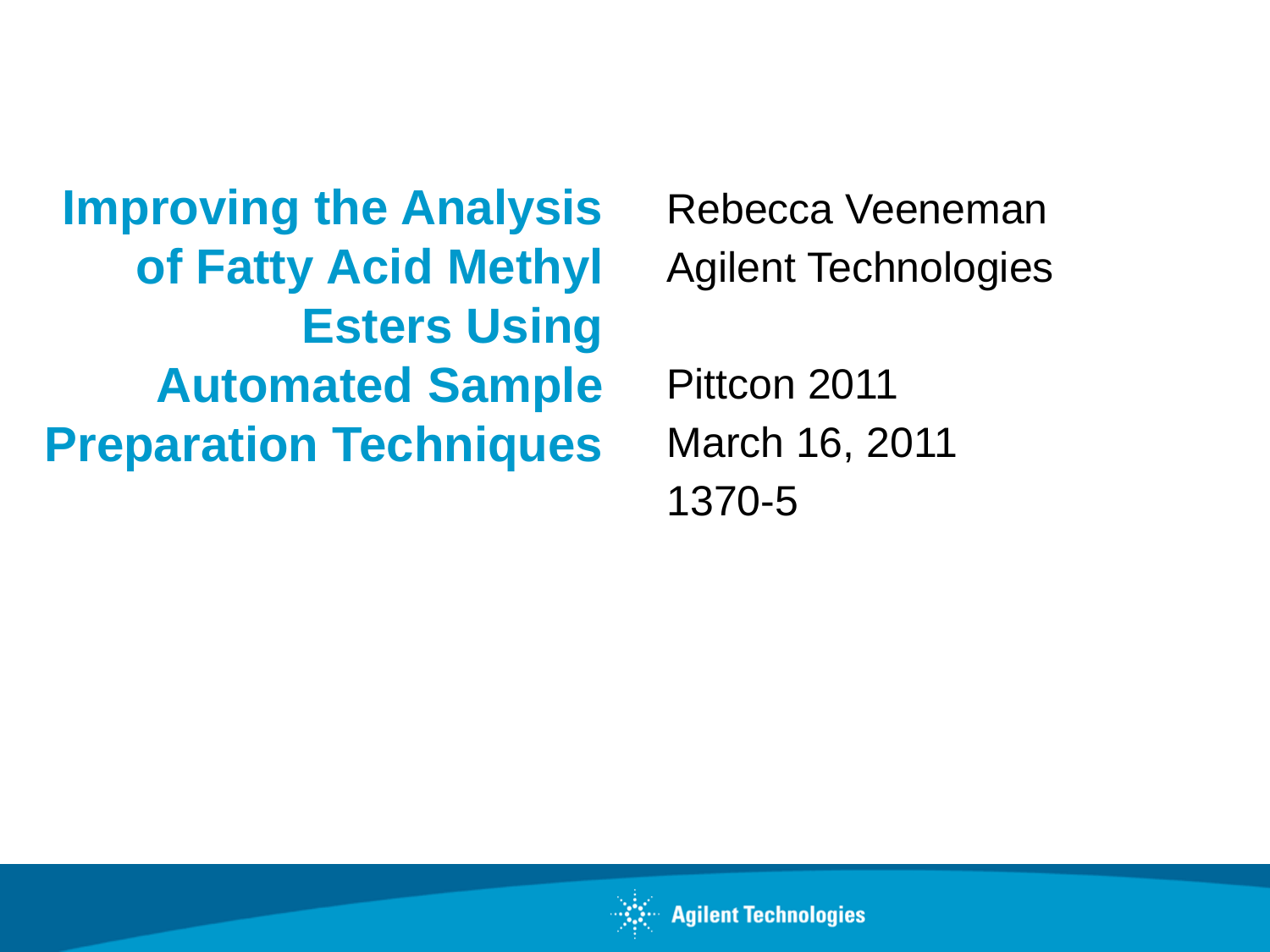**Improving the Analysis of Fatty Acid Methyl Esters Using Automated Sample Preparation Techniques**

Rebecca Veeneman Agilent Technologies

Pittcon 2011 March 16, 2011 1370-5

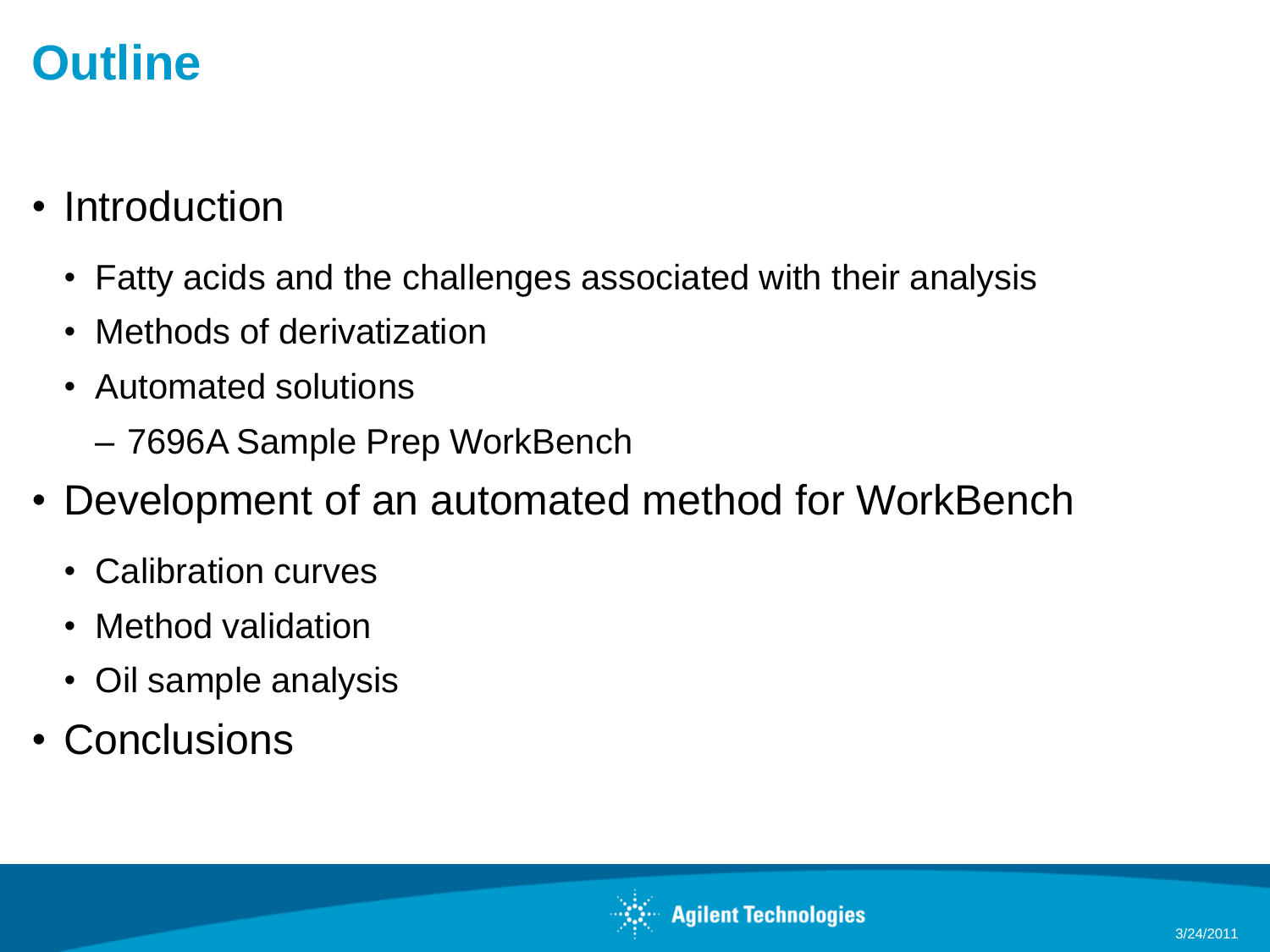## **Outline**

- **Introduction** 
	- Fatty acids and the challenges associated with their analysis
	- Methods of derivatization
	- Automated solutions
		- 7696A Sample Prep WorkBench
- Development of an automated method for WorkBench
	- Calibration curves
	- Method validation
	- Oil sample analysis
- Conclusions

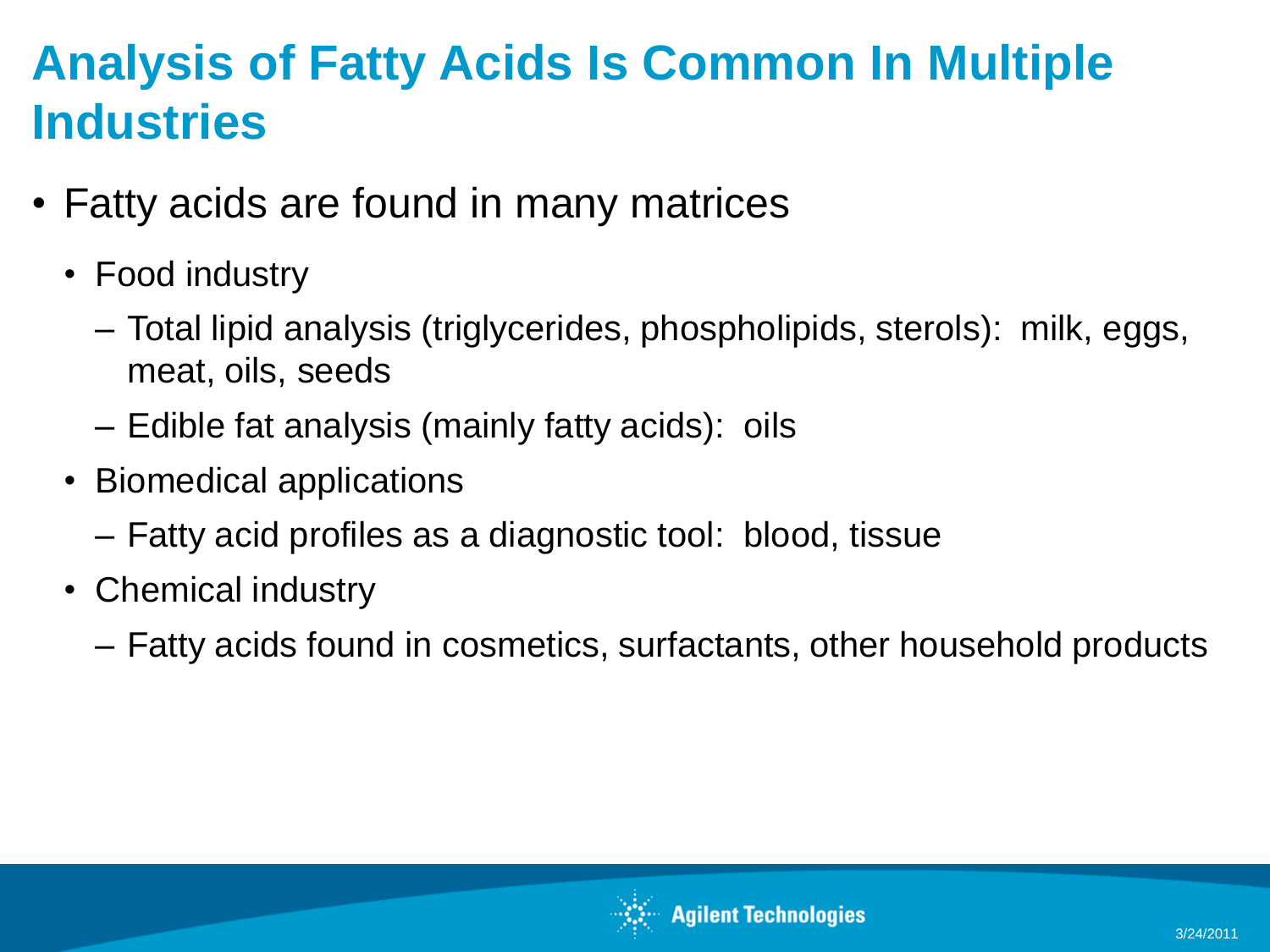## **Analysis of Fatty Acids Is Common In Multiple Industries**

- Fatty acids are found in many matrices
	- Food industry
		- Total lipid analysis (triglycerides, phospholipids, sterols): milk, eggs, meat, oils, seeds
		- Edible fat analysis (mainly fatty acids): oils
	- Biomedical applications
		- Fatty acid profiles as a diagnostic tool: blood, tissue
	- Chemical industry
		- Fatty acids found in cosmetics, surfactants, other household products

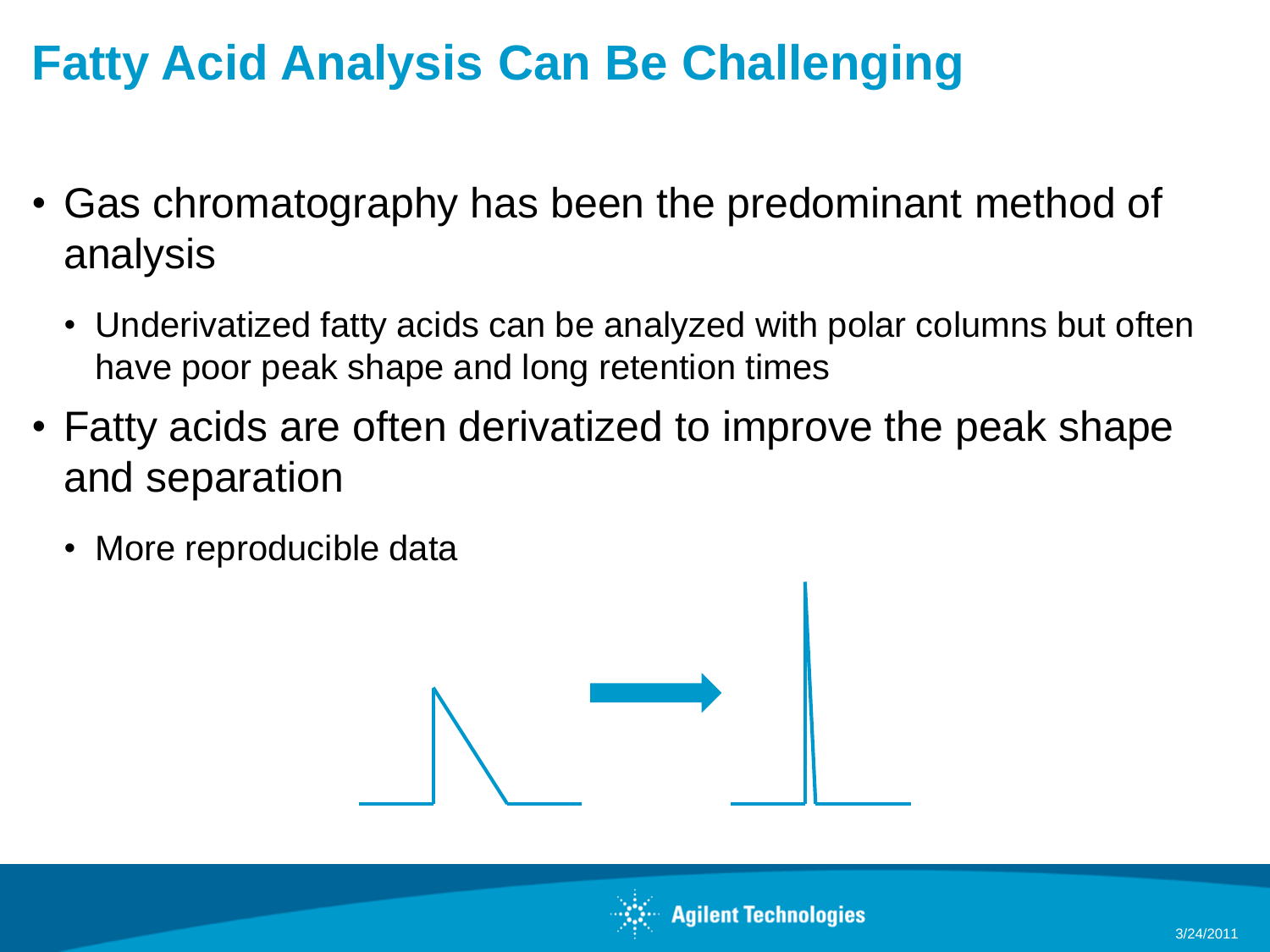## **Fatty Acid Analysis Can Be Challenging**

- Gas chromatography has been the predominant method of analysis
	- Underivatized fatty acids can be analyzed with polar columns but often have poor peak shape and long retention times
- Fatty acids are often derivatized to improve the peak shape and separation
	- More reproducible data



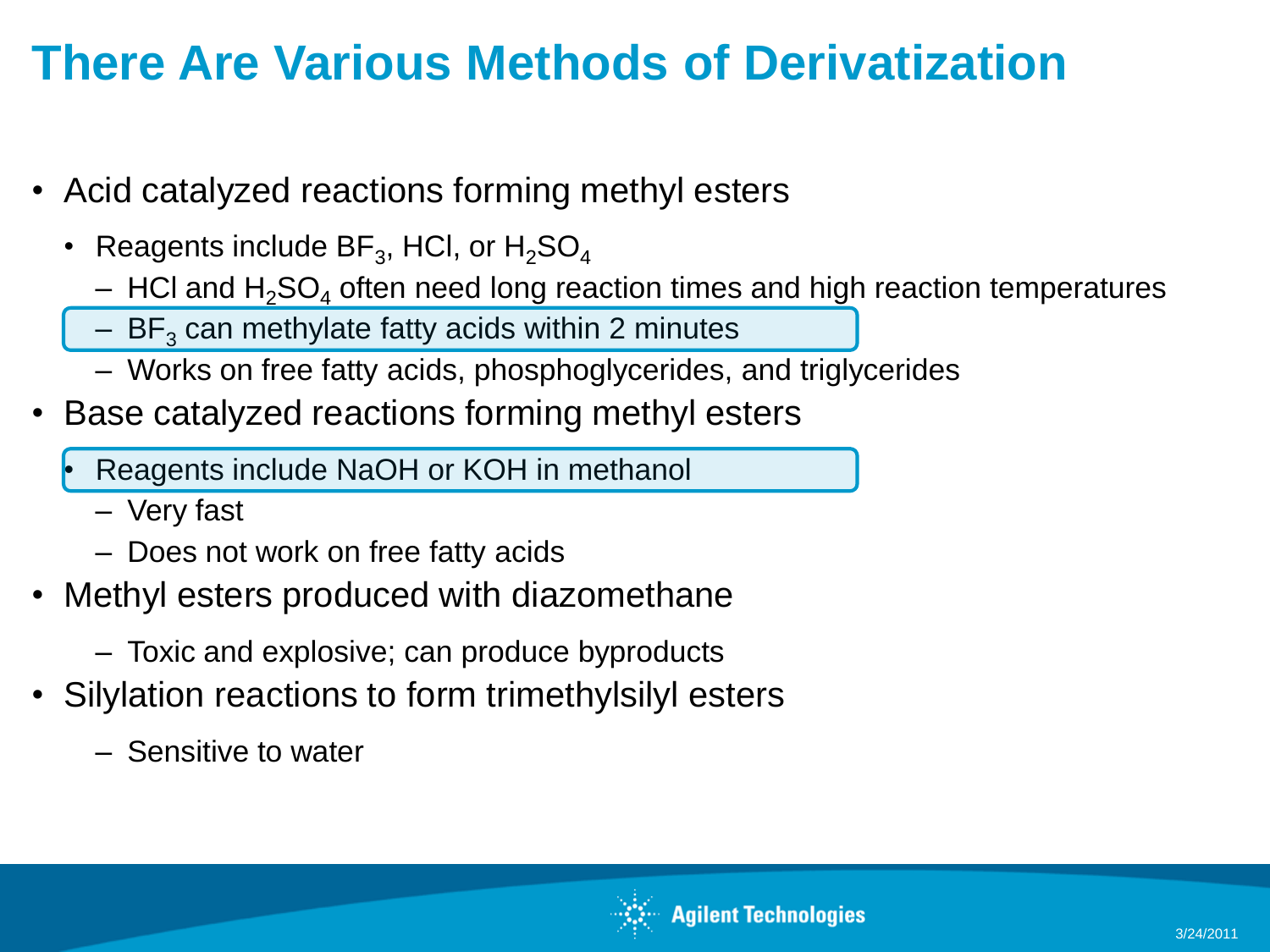## **There Are Various Methods of Derivatization**

- Acid catalyzed reactions forming methyl esters
	- Reagents include BF $_3$ , HCl, or  $\rm H_2SO_4$ 
		- $-$  HCl and H<sub>2</sub>SO<sub>4</sub> often need long reaction times and high reaction temperatures
		- $-$  BF<sub>3</sub> can methylate fatty acids within 2 minutes
		- Works on free fatty acids, phosphoglycerides, and triglycerides
- Base catalyzed reactions forming methyl esters
	- Reagents include NaOH or KOH in methanol
		- Very fast
		- Does not work on free fatty acids
- Methyl esters produced with diazomethane
	- Toxic and explosive; can produce byproducts
- Silylation reactions to form trimethylsilyl esters
	- Sensitive to water

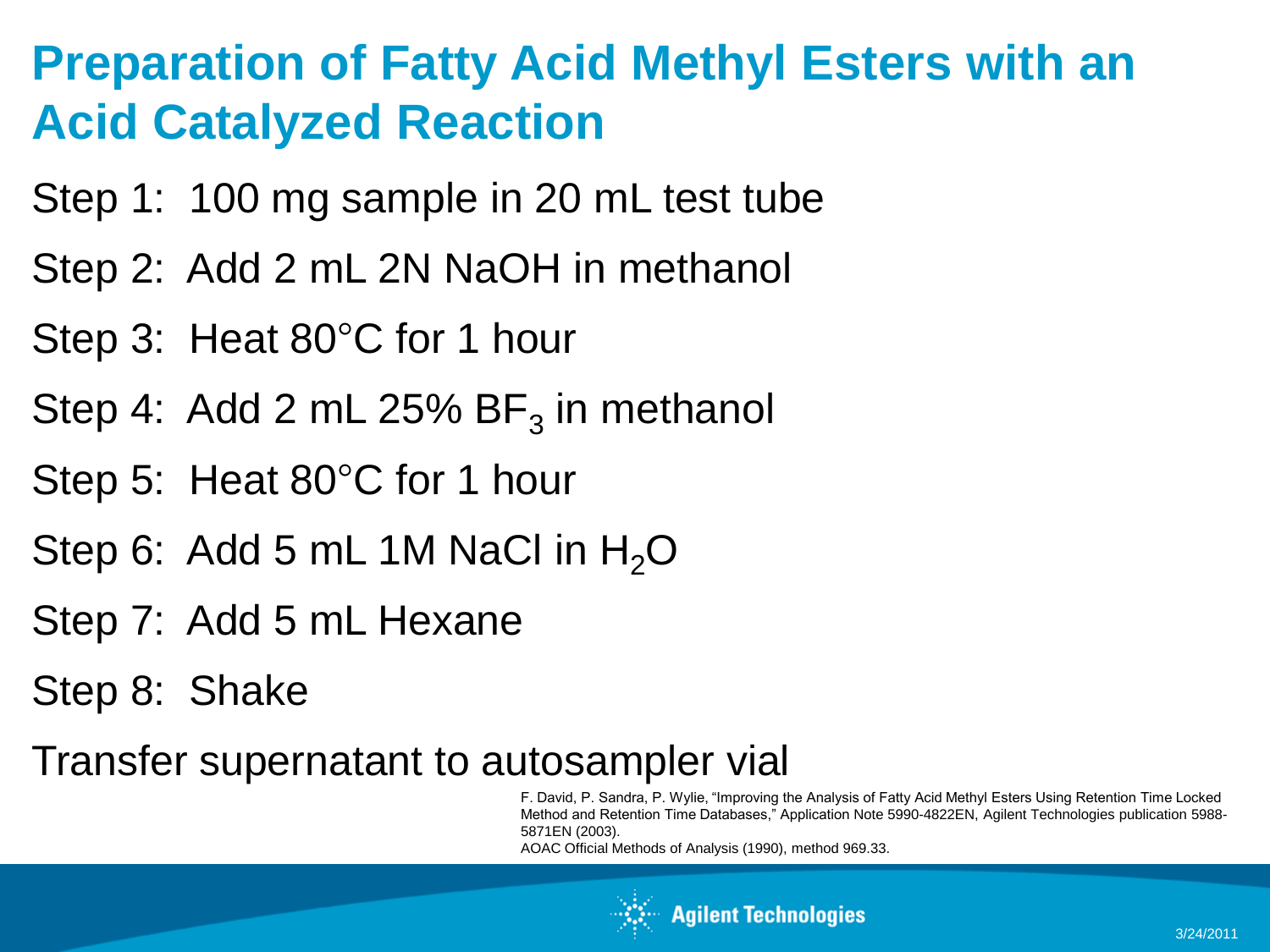#### **Preparation of Fatty Acid Methyl Esters with an Acid Catalyzed Reaction**

- Step 1: 100 mg sample in 20 mL test tube
- Step 2: Add 2 mL 2N NaOH in methanol
- Step 3: Heat 80°C for 1 hour
- Step 4: Add 2 mL 25%  $BF_3$  in methanol
- Step 5: Heat 80°C for 1 hour
- Step 6: Add 5 mL 1M NaCl in  $H_2O$
- Step 7: Add 5 mL Hexane
- Step 8: Shake
- Transfer supernatant to autosampler vial

F. David, P. Sandra, P. Wylie, "Improving the Analysis of Fatty Acid Methyl Esters Using Retention Time Locked Method and Retention Time Databases," Application Note 5990-4822EN, Agilent Technologies publication 5988- 5871EN (2003).

AOAC Official Methods of Analysis (1990), method 969.33.

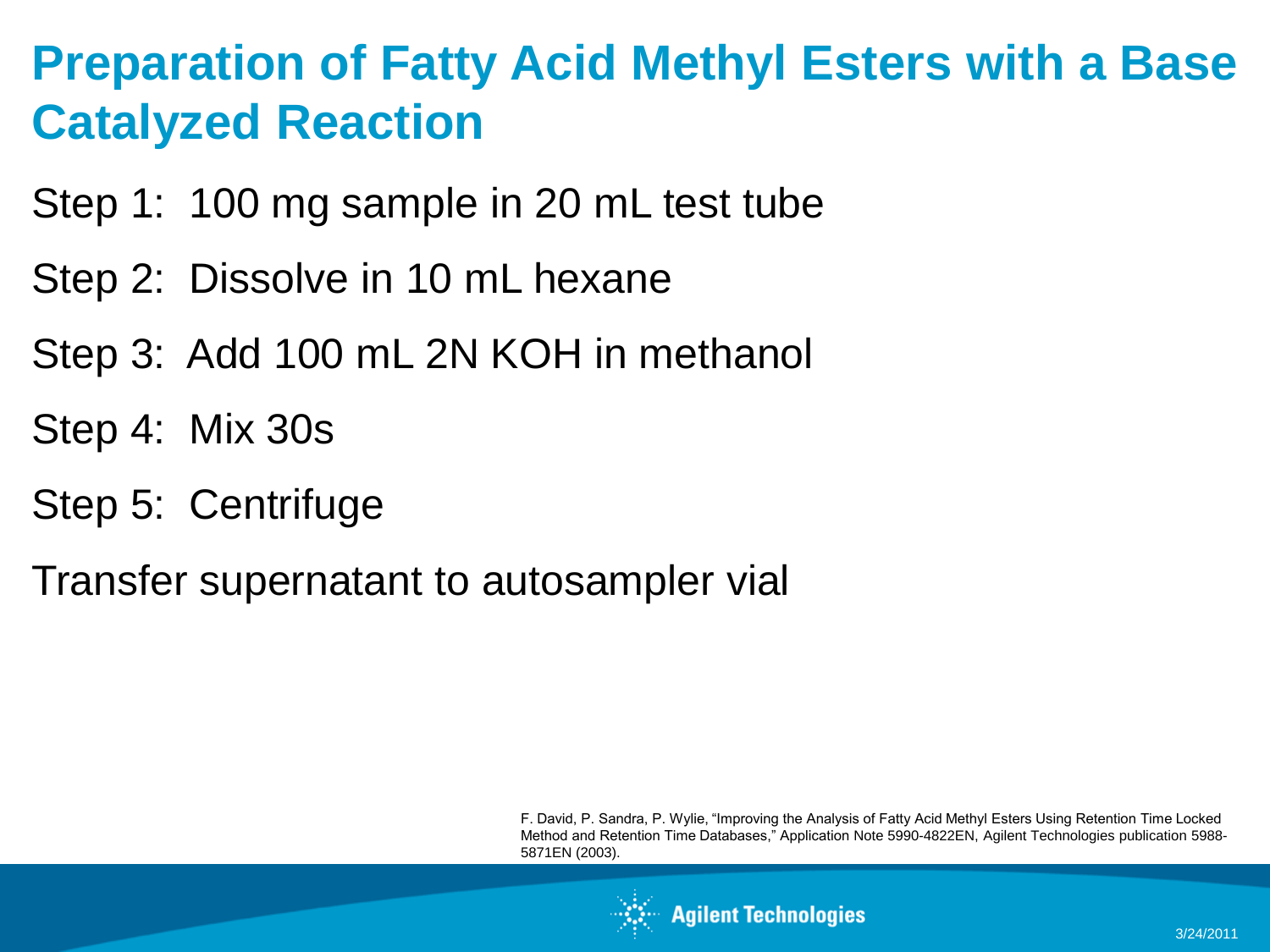#### **Preparation of Fatty Acid Methyl Esters with a Base Catalyzed Reaction**

- Step 1: 100 mg sample in 20 mL test tube
- Step 2: Dissolve in 10 mL hexane
- Step 3: Add 100 mL 2N KOH in methanol
- Step 4: Mix 30s
- Step 5: Centrifuge
- Transfer supernatant to autosampler vial

F. David, P. Sandra, P. Wylie, "Improving the Analysis of Fatty Acid Methyl Esters Using Retention Time Locked Method and Retention Time Databases," Application Note 5990-4822EN, Agilent Technologies publication 5988- 5871EN (2003).

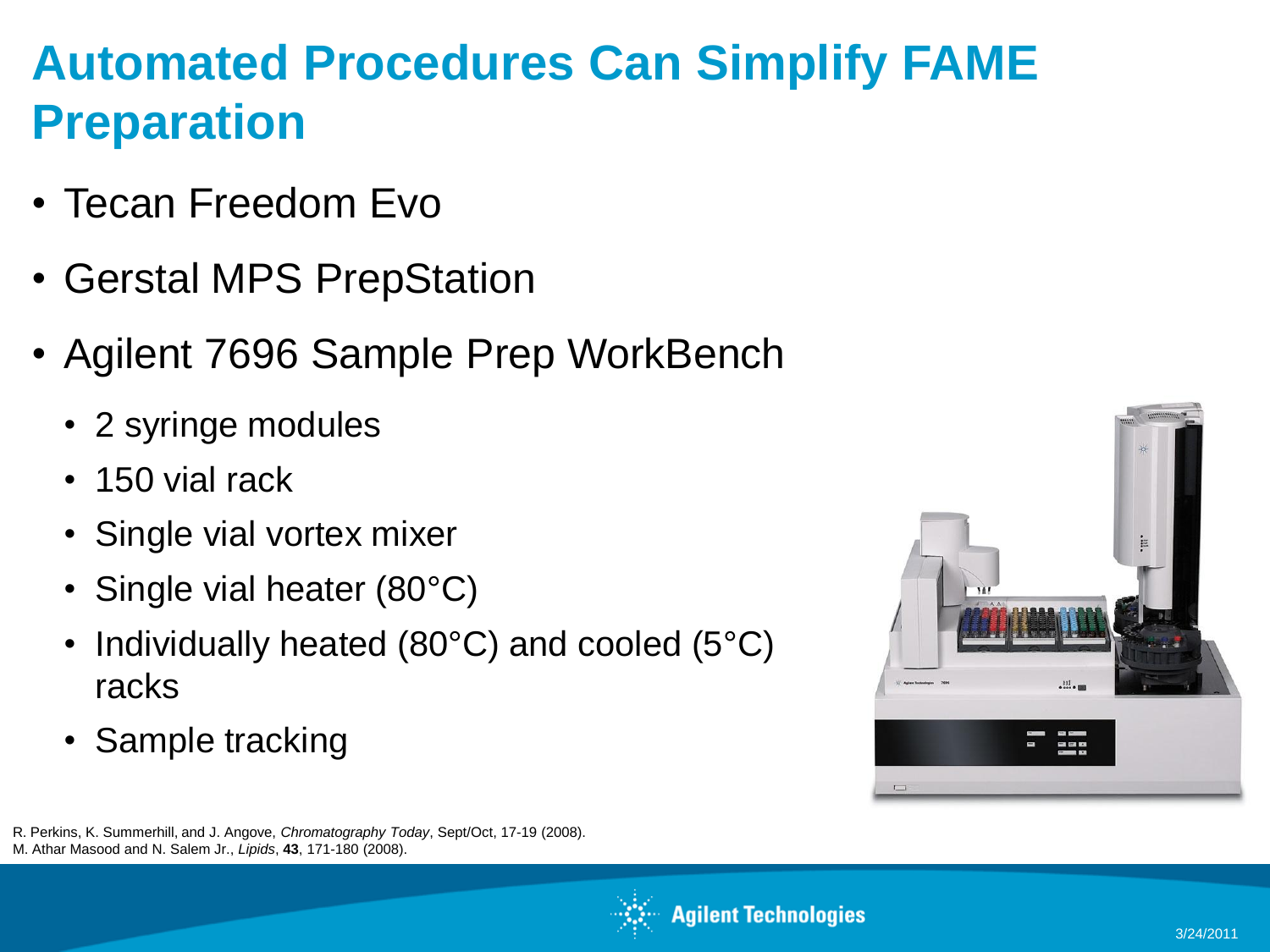## **Automated Procedures Can Simplify FAME Preparation**

- Tecan Freedom Evo
- Gerstal MPS PrepStation
- Agilent 7696 Sample Prep WorkBench
	- 2 syringe modules
	- 150 vial rack
	- Single vial vortex mixer
	- Single vial heater (80°C)
	- Individually heated (80°C) and cooled (5°C) racks
	- Sample tracking



R. Perkins, K. Summerhill, and J. Angove, *Chromatography Today*, Sept/Oct, 17-19 (2008). M. Athar Masood and N. Salem Jr., *Lipids*, **43**, 171-180 (2008).

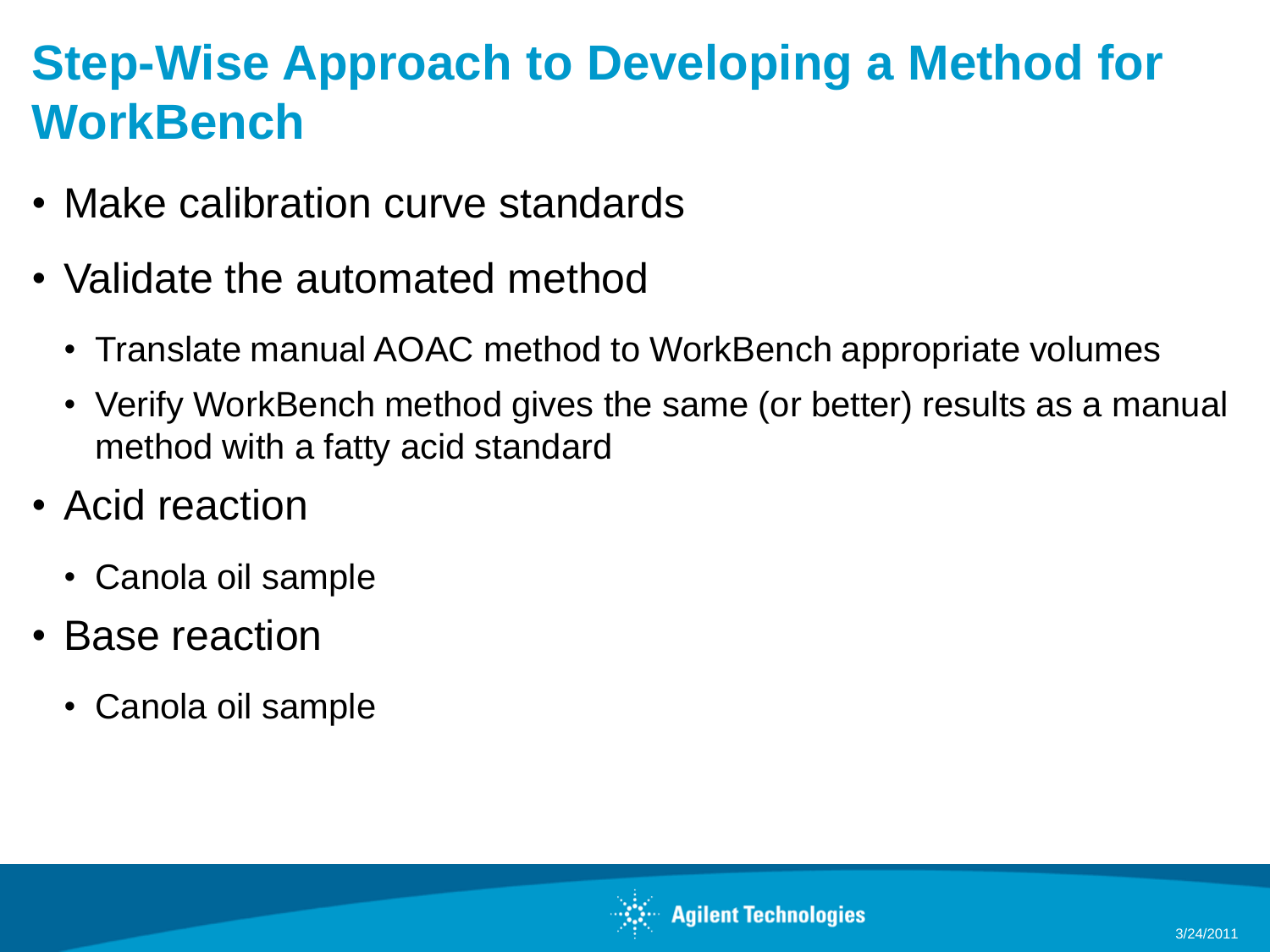## **Step-Wise Approach to Developing a Method for WorkBench**

- Make calibration curve standards
- Validate the automated method
	- Translate manual AOAC method to WorkBench appropriate volumes
	- Verify WorkBench method gives the same (or better) results as a manual method with a fatty acid standard
- Acid reaction
	- Canola oil sample
- Base reaction
	- Canola oil sample

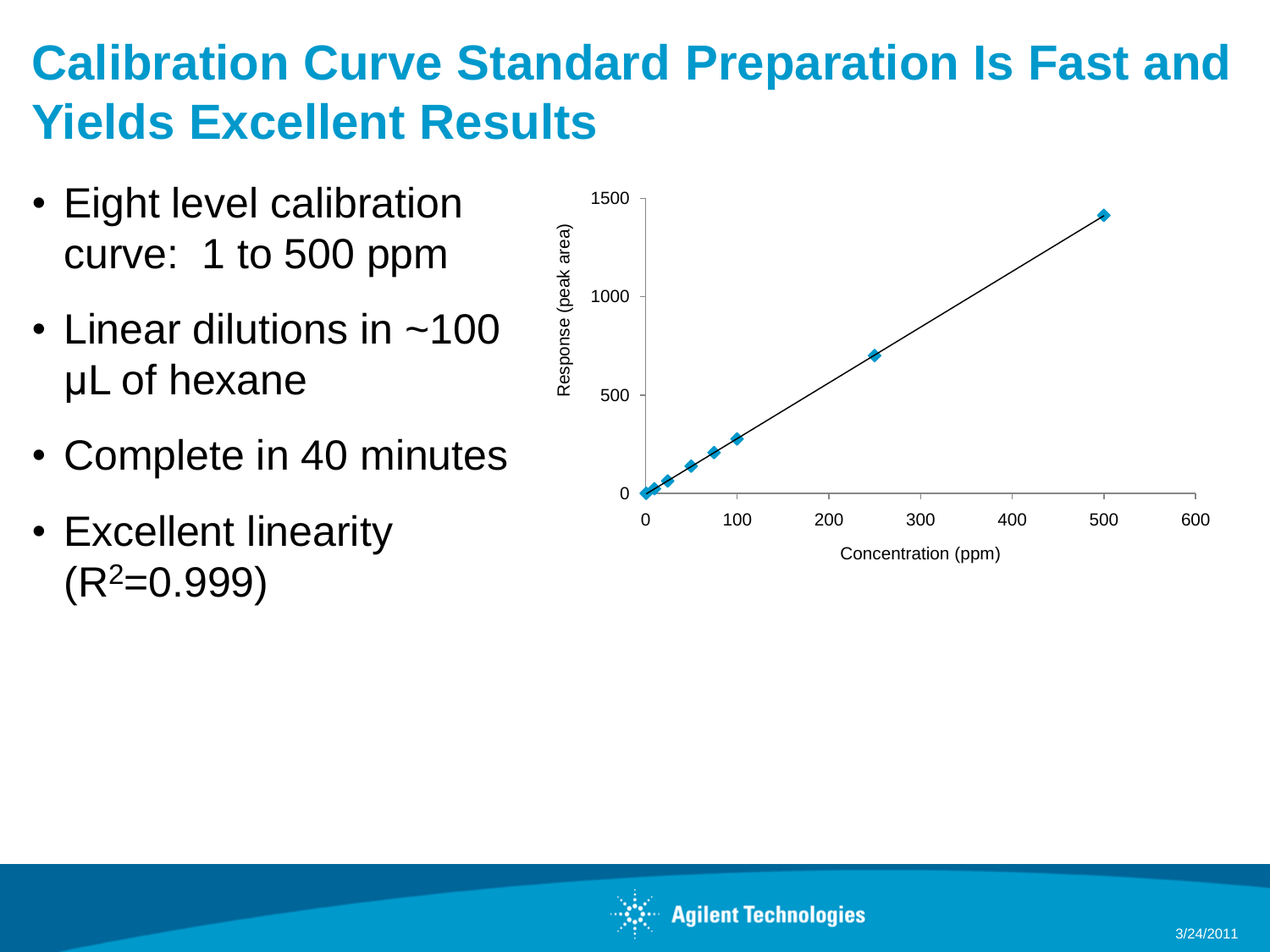## **Calibration Curve Standard Preparation Is Fast and Yields Excellent Results**

- Eight level calibration curve: 1 to 500 ppm
- Linear dilutions in ~100 μL of hexane
- Complete in 40 minutes
- Excellent linearity  $(R<sup>2</sup>=0.999)$



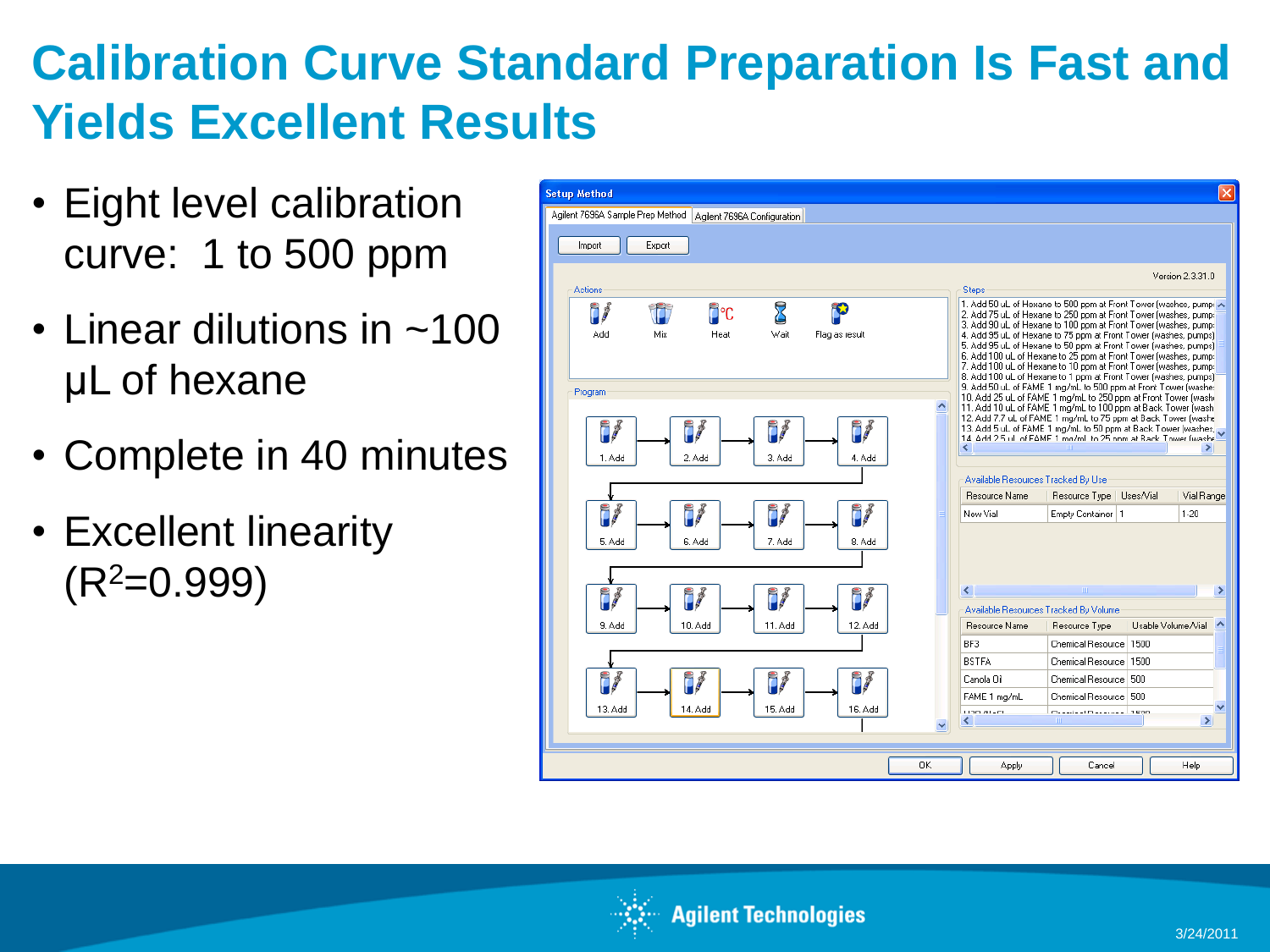## **Calibration Curve Standard Preparation Is Fast and Yields Excellent Results**

- Eight level calibration curve: 1 to 500 ppm
- Linear dilutions in ~100 μL of hexane
- Complete in 40 minutes
- Excellent linearity  $(R<sup>2</sup>=0.999)$



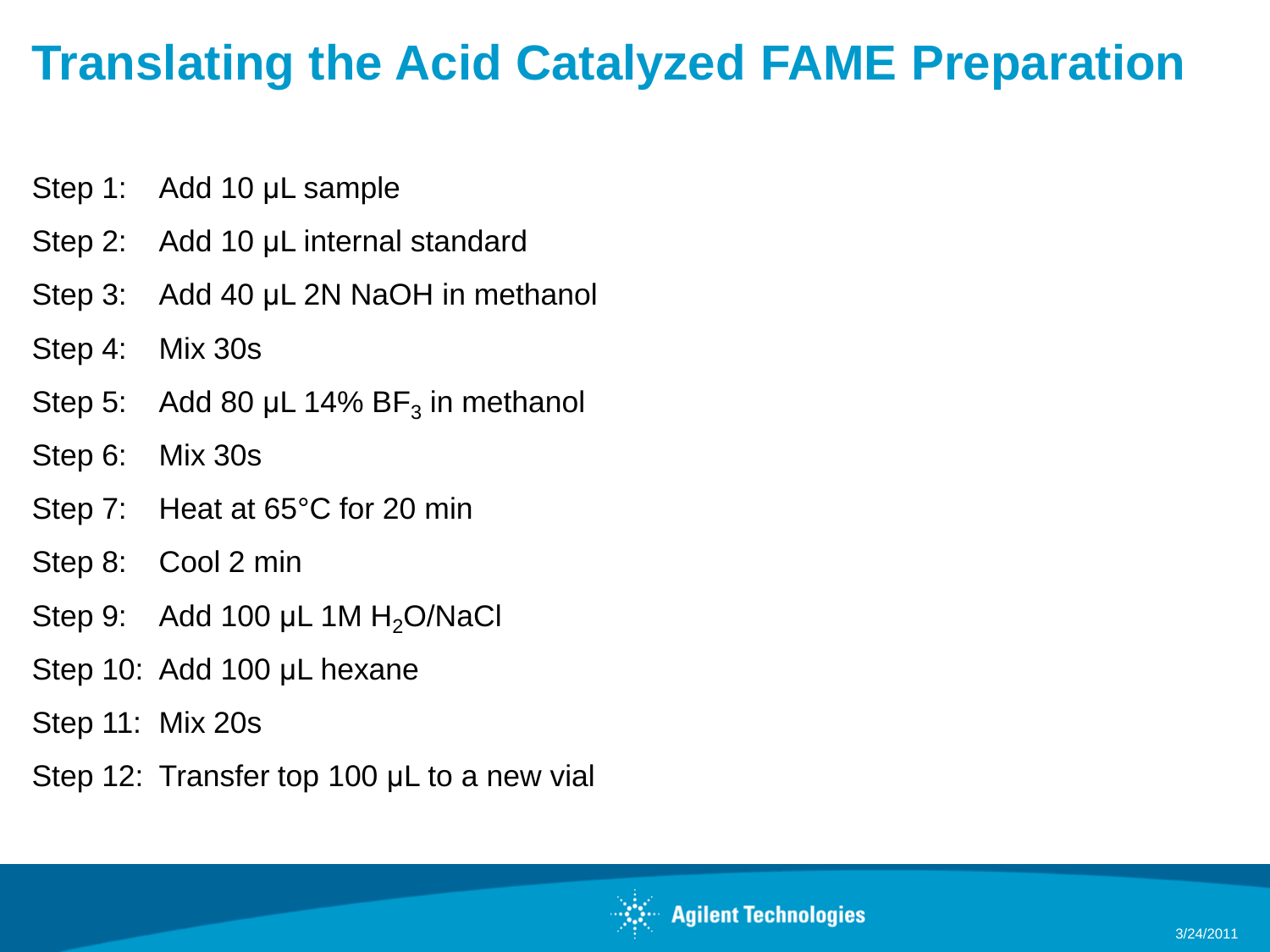#### **Translating the Acid Catalyzed FAME Preparation**

- Step 1: Add 10 μL sample
- Step 2: Add 10 μL internal standard
- Step 3: Add 40 μL 2N NaOH in methanol
- Step 4: Mix 30s
- Step 5: Add 80  $\mu$ L 14% BF<sub>3</sub> in methanol
- Step 6: Mix 30s
- Step 7: Heat at 65°C for 20 min
- Step 8: Cool 2 min
- Step 9: Add 100 μL 1M  $H<sub>2</sub>O/NaCl$
- Step 10: Add 100 μL hexane
- Step 11: Mix 20s
- Step 12: Transfer top 100 μL to a new vial

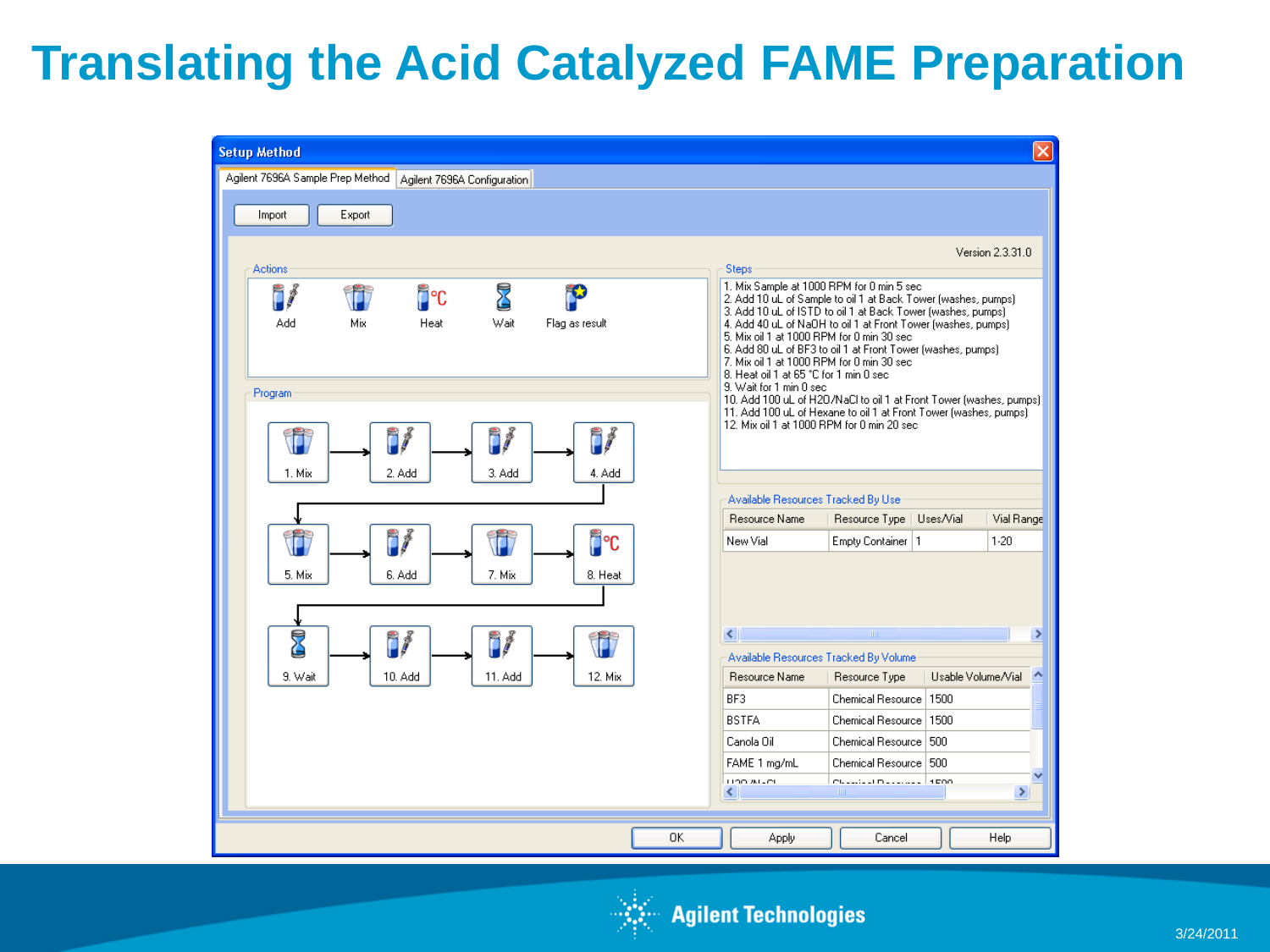#### **Translating the Acid Catalyzed FAME Preparation**



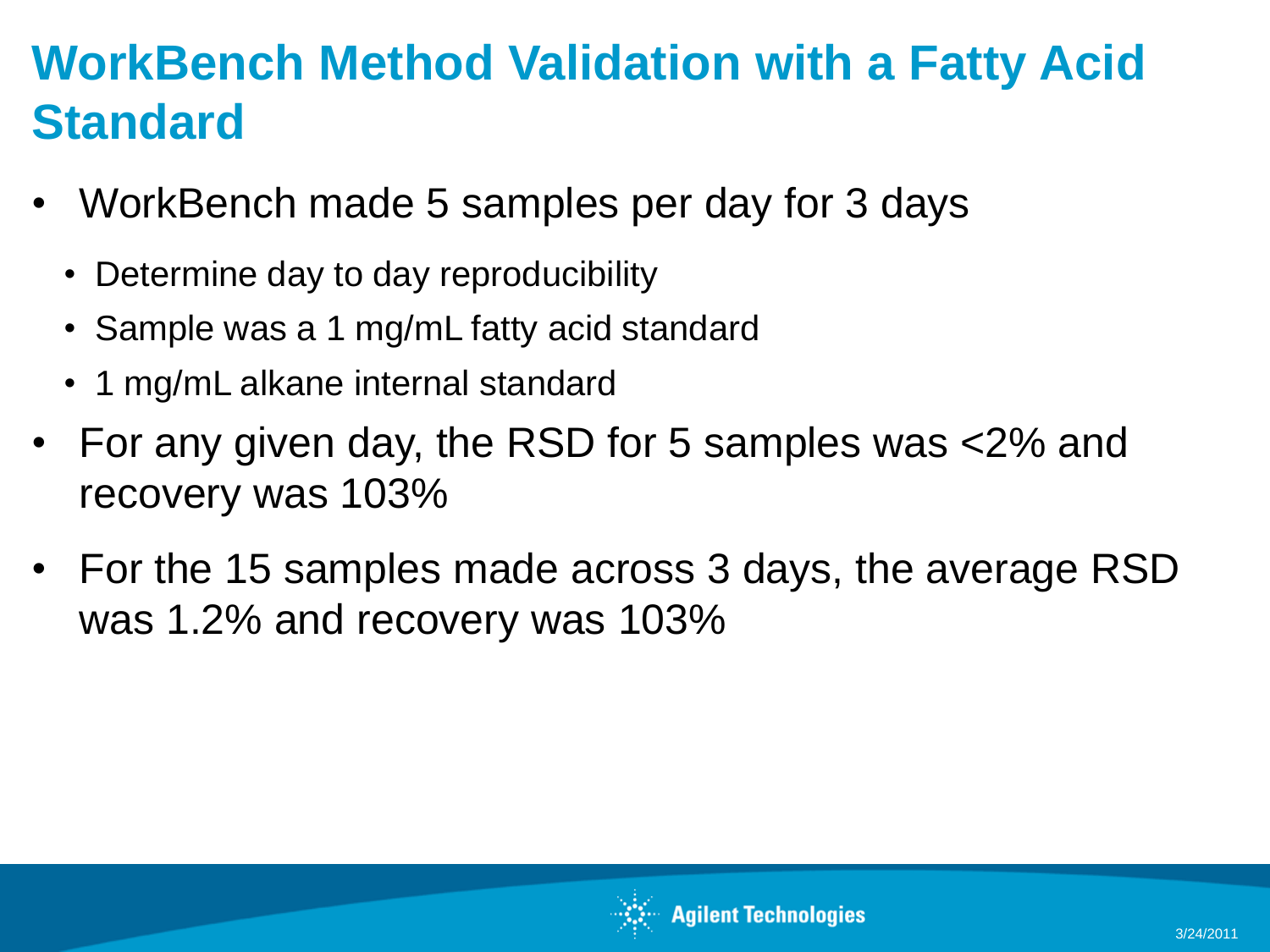## **WorkBench Method Validation with a Fatty Acid Standard**

- WorkBench made 5 samples per day for 3 days
	- Determine day to day reproducibility
	- Sample was a 1 mg/mL fatty acid standard
	- 1 mg/mL alkane internal standard
- For any given day, the RSD for 5 samples was <2% and recovery was 103%
- For the 15 samples made across 3 days, the average RSD was 1.2% and recovery was 103%

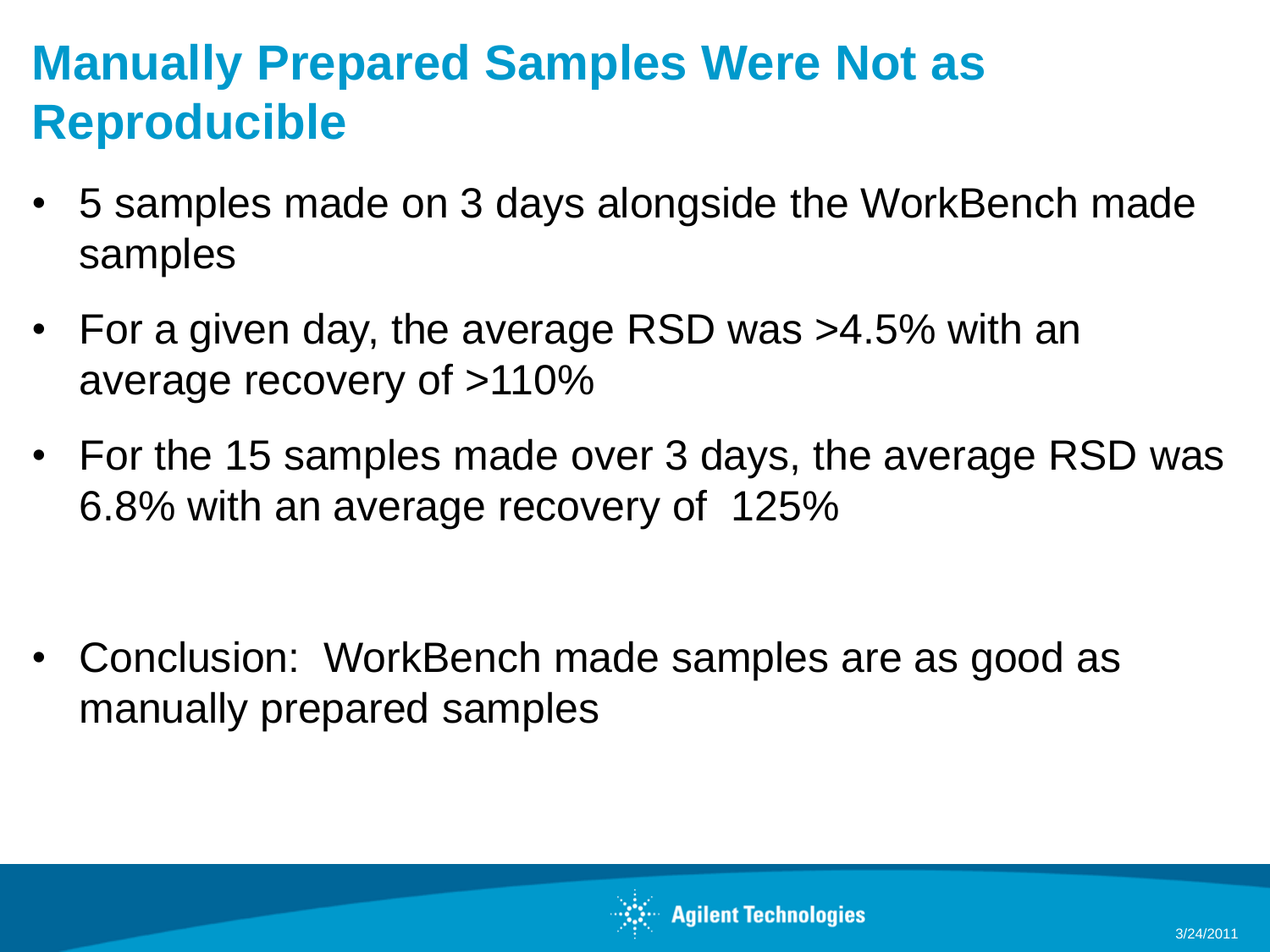## **Manually Prepared Samples Were Not as Reproducible**

- 5 samples made on 3 days alongside the WorkBench made samples
- For a given day, the average RSD was >4.5% with an average recovery of >110%
- For the 15 samples made over 3 days, the average RSD was 6.8% with an average recovery of 125%

• Conclusion: WorkBench made samples are as good as manually prepared samples

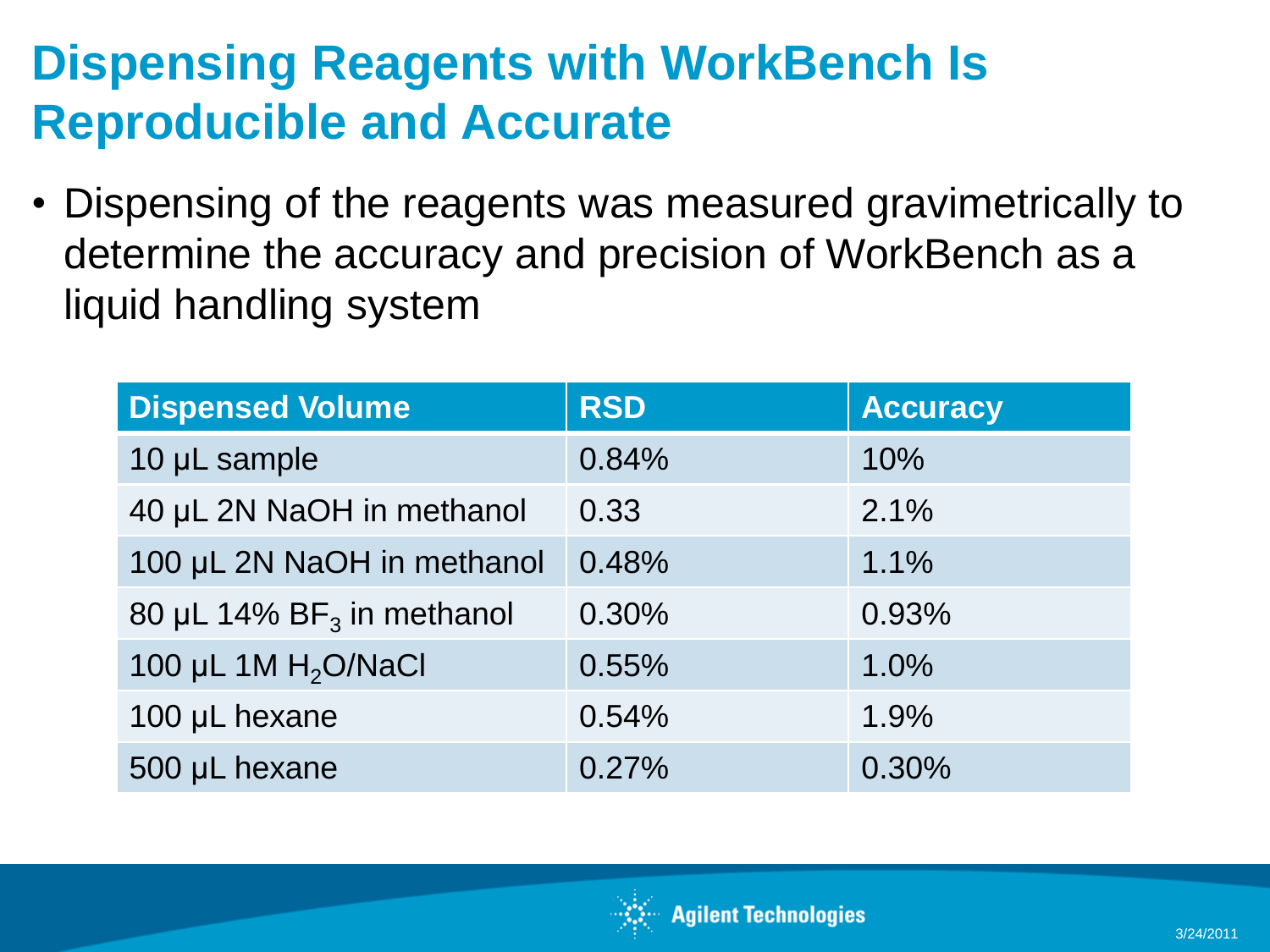## **Dispensing Reagents with WorkBench Is Reproducible and Accurate**

• Dispensing of the reagents was measured gravimetrically to determine the accuracy and precision of WorkBench as a liquid handling system

| <b>Dispensed Volume</b>      | <b>RSD</b> | <b>Accuracy</b> |
|------------------------------|------------|-----------------|
| 10 µL sample                 | 0.84%      | 10%             |
| 40 µL 2N NaOH in methanol    | 0.33       | 2.1%            |
| 100 µL 2N NaOH in methanol   | 0.48%      | 1.1%            |
| 80 µL 14% $BF_3$ in methanol | 0.30%      | 0.93%           |
| 100 µL 1M $H2$ O/NaCl        | 0.55%      | 1.0%            |
| 100 µL hexane                | 0.54%      | 1.9%            |
| 500 µL hexane                | 0.27%      | 0.30%           |

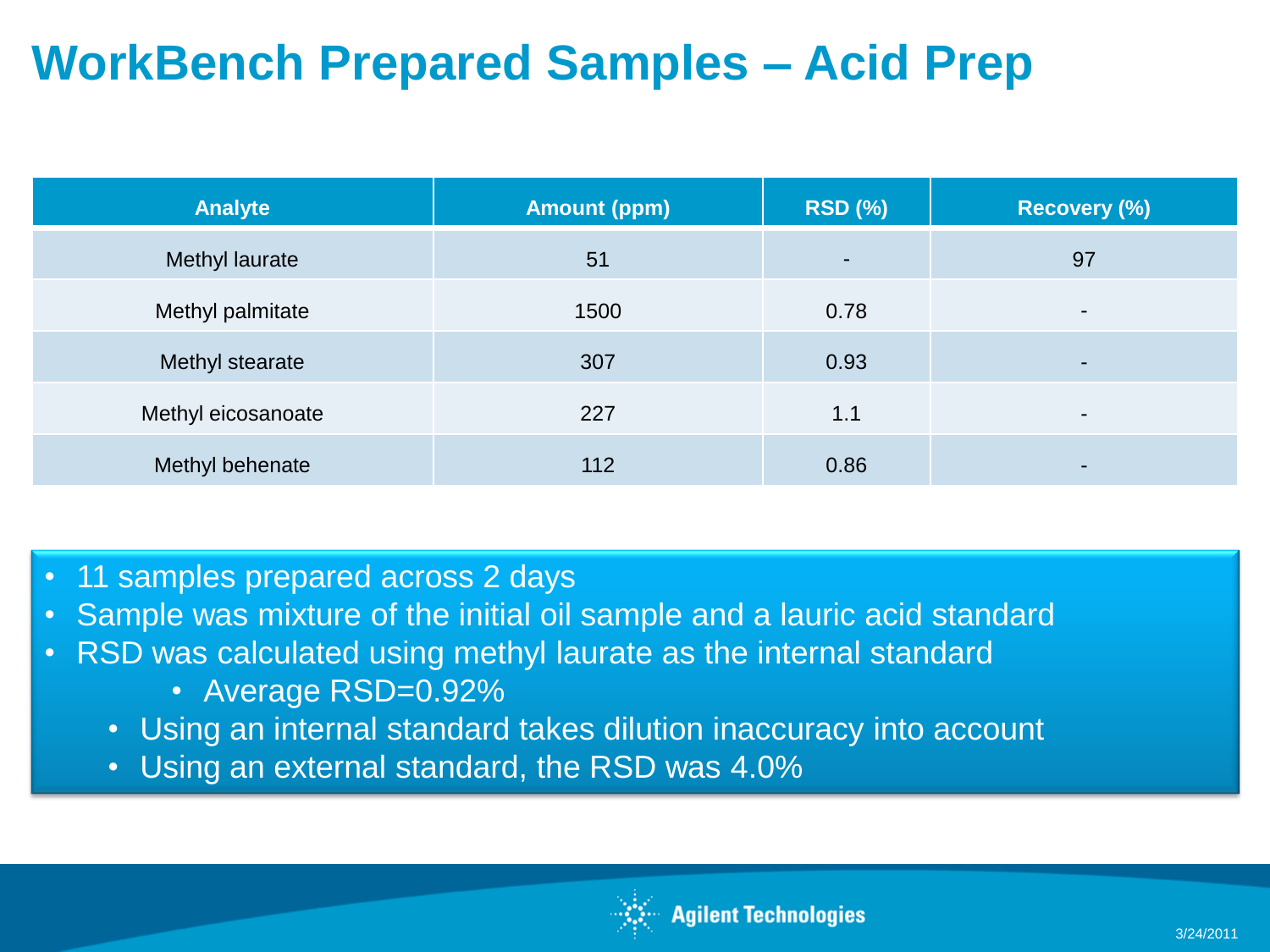# **WorkBench Prepared Samples – Acid Prep**

| <b>Analyte</b>     | <b>Amount (ppm)</b> | <b>RSD (%)</b> | Recovery (%)             |
|--------------------|---------------------|----------------|--------------------------|
| Methyl laurate     | 51                  | $\blacksquare$ | 97                       |
| Methyl palmitate   | 1500                | 0.78           | $\overline{\phantom{0}}$ |
| Methyl stearate    | 307                 | 0.93           |                          |
| Methyl eicosanoate | 227                 | 1.1            |                          |
| Methyl behenate    | 112                 | 0.86           |                          |

- 11 samples prepared across 2 days
- Sample was mixture of the initial oil sample and a lauric acid standard
- RSD was calculated using methyl laurate as the internal standard
	- Average RSD=0.92%
	- Using an internal standard takes dilution inaccuracy into account
	- Using an external standard, the RSD was 4.0%

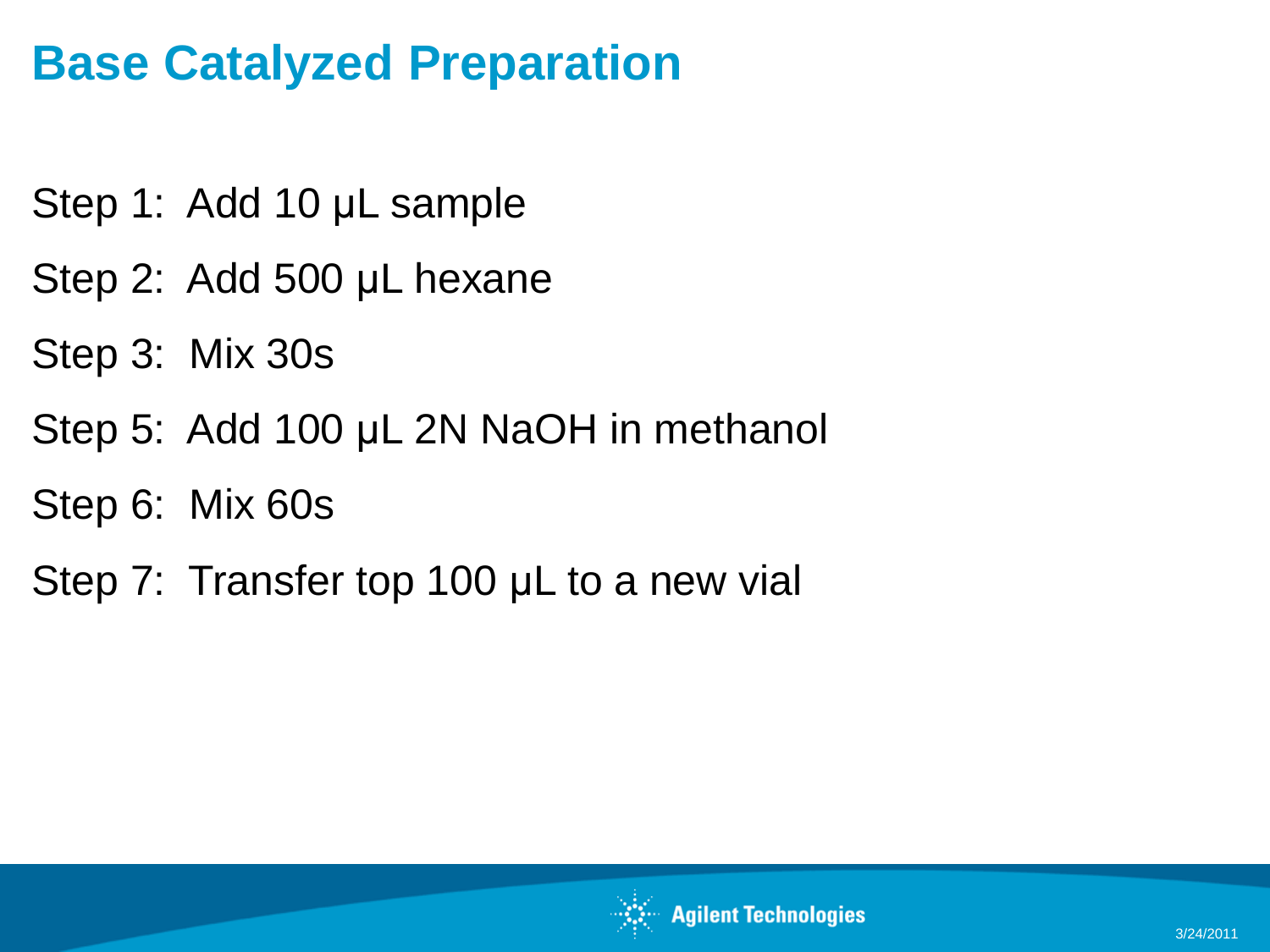## **Base Catalyzed Preparation**

- Step 1: Add 10 µL sample
- Step 2: Add 500 μL hexane
- Step 3: Mix 30s
- Step 5: Add 100 μL 2N NaOH in methanol
- Step 6: Mix 60s
- Step 7: Transfer top 100 µL to a new vial

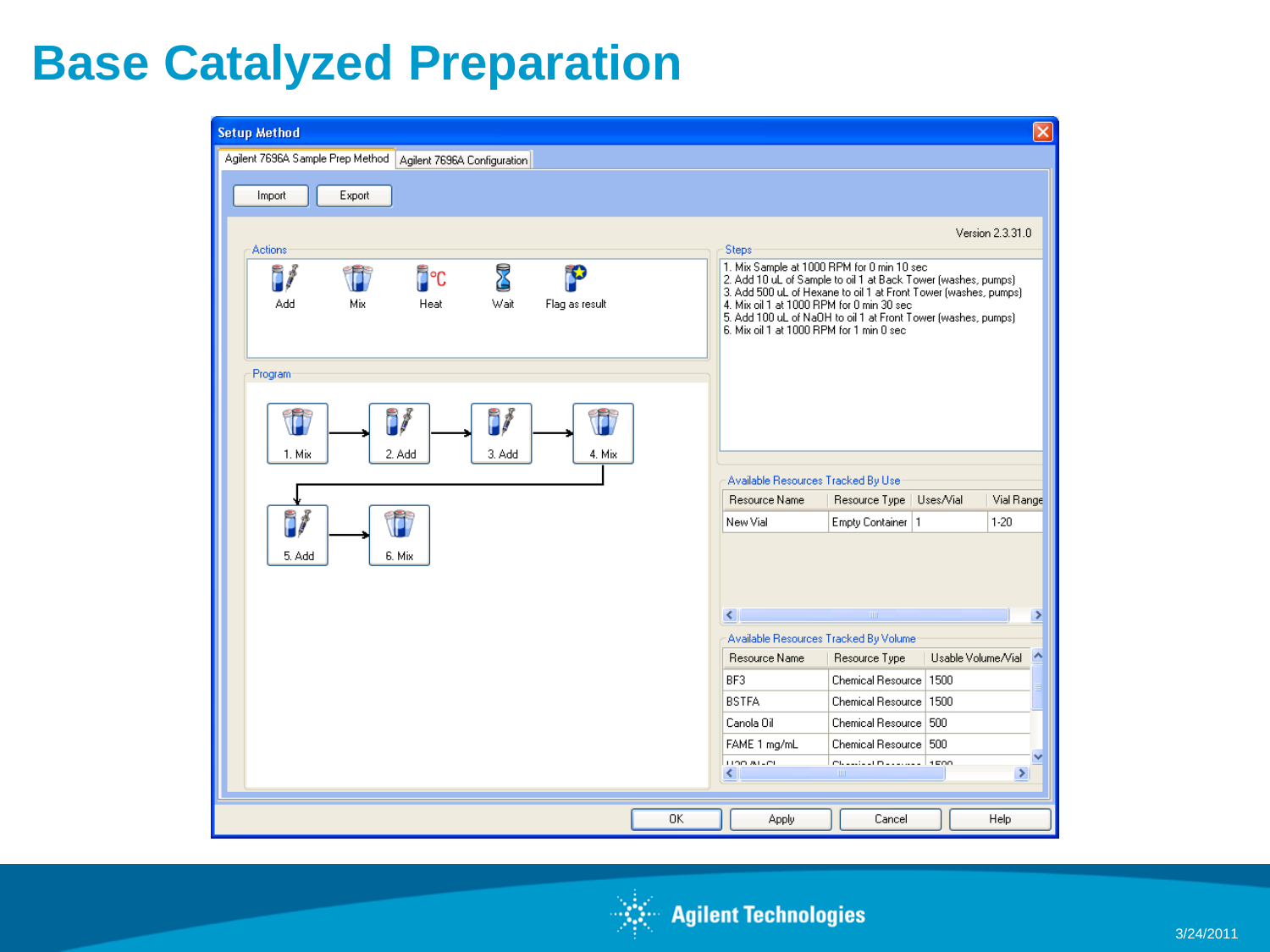#### **Base Catalyzed Preparation**

| <b>Setup Method</b>                                                       |                                                                                                                                                                                                                                                                                                                                                     |
|---------------------------------------------------------------------------|-----------------------------------------------------------------------------------------------------------------------------------------------------------------------------------------------------------------------------------------------------------------------------------------------------------------------------------------------------|
| Agilent 7696A Sample Prep Method   Agilent 7696A Configuration            |                                                                                                                                                                                                                                                                                                                                                     |
| Export<br>Import                                                          |                                                                                                                                                                                                                                                                                                                                                     |
|                                                                           | Version 2.3.31.0                                                                                                                                                                                                                                                                                                                                    |
| Actions<br>Z<br>i/<br>D°⊡<br>Wait<br>Add<br>Mix<br>Heat<br>Flag as result | Steps<br>1. Mix Sample at 1000 RPM for 0 min 10 sec<br>2. Add 10 uL of Sample to oil 1 at Back Tower (washes, pumps)<br>3. Add 500 uL of Hexane to oil 1 at Front Tower (washes, pumps).<br>4. Mix oil 1 at 1000 RPM for 0 min 30 sec<br>5. Add 100 uL of NaOH to oil 1 at Front Tower (washes, pumps).<br>6. Mix oil 1 at 1000 RPM for 1 min 0 sec |
| Program                                                                   |                                                                                                                                                                                                                                                                                                                                                     |
| f<br>f<br>2. Add<br>3. Add<br>4. Mix.<br>1. Mix                           |                                                                                                                                                                                                                                                                                                                                                     |
|                                                                           | Available Resources Tracked By Use                                                                                                                                                                                                                                                                                                                  |
|                                                                           | Resource Name<br>Vial Range<br>Resource Type  <br>Uses/Vial                                                                                                                                                                                                                                                                                         |
| Î<br>i<br>5. Add<br>6. Mix                                                | $1 - 20$<br>New Vial<br>Empty Container   1                                                                                                                                                                                                                                                                                                         |
|                                                                           |                                                                                                                                                                                                                                                                                                                                                     |
|                                                                           | $\leq$<br>$\rm IIII$                                                                                                                                                                                                                                                                                                                                |
|                                                                           | Available Resources Tracked By Volume                                                                                                                                                                                                                                                                                                               |
|                                                                           | Resource Name<br>Usable Volume/Vial<br>Resource Type                                                                                                                                                                                                                                                                                                |
|                                                                           | BF3<br>Chemical Resource   1500<br><b>BSTFA</b><br>Chemical Resource   1500                                                                                                                                                                                                                                                                         |
|                                                                           | Canola Oil<br>Chemical Resource   500                                                                                                                                                                                                                                                                                                               |
|                                                                           | Chemical Resource 500<br>FAME 1 mg/mL                                                                                                                                                                                                                                                                                                               |
|                                                                           | Customer Description of Alberta<br>LIOD ALLOL<br>$\mathbf{m}$<br>×.<br>≺                                                                                                                                                                                                                                                                            |
|                                                                           |                                                                                                                                                                                                                                                                                                                                                     |
| <b>OK</b>                                                                 | Cancel<br>Help<br><b>Apply</b>                                                                                                                                                                                                                                                                                                                      |

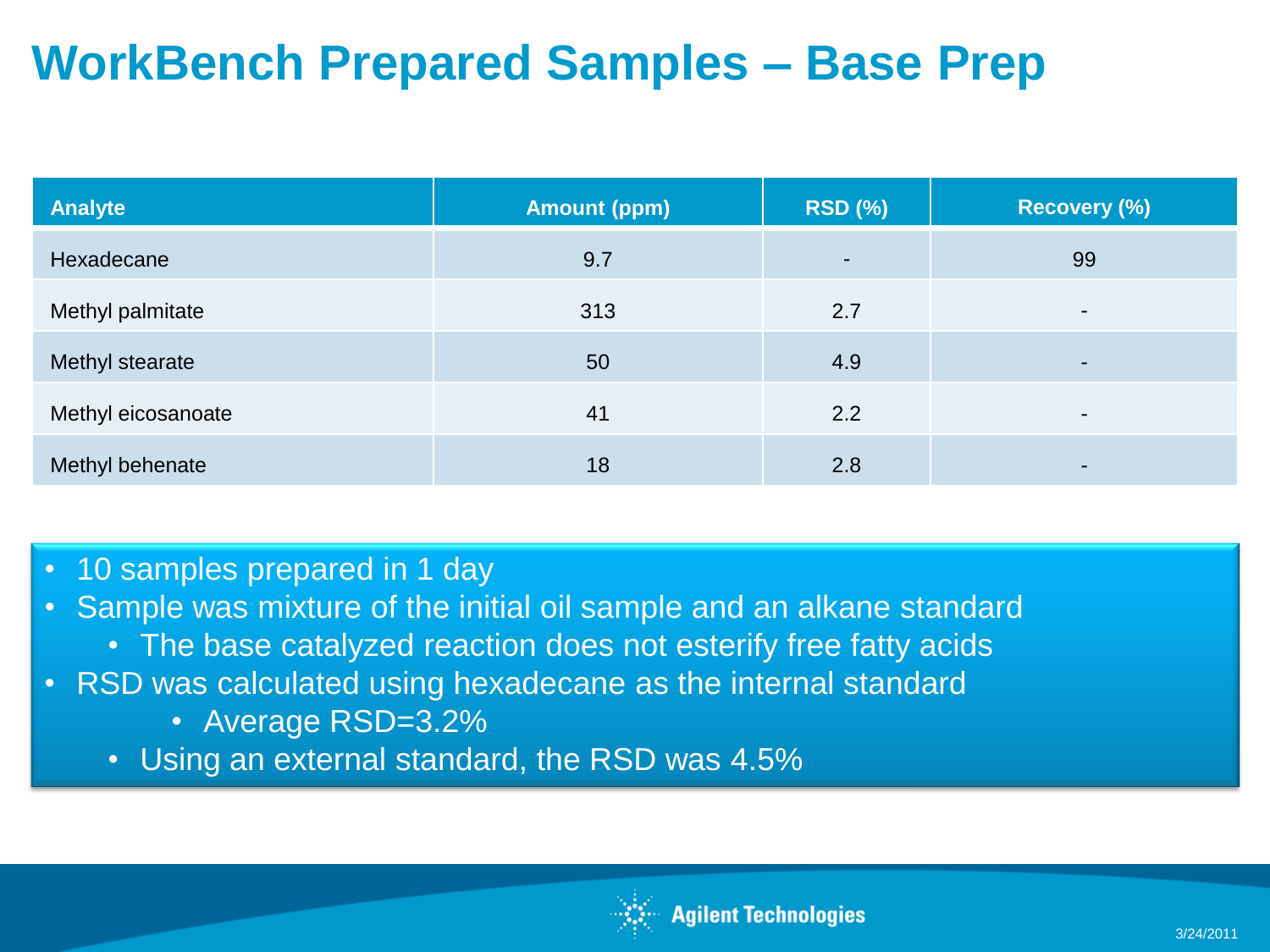## **WorkBench Prepared Samples – Base Prep**

| <b>Analyte</b>     | <b>Amount (ppm)</b> | <b>RSD (%)</b> | <b>Recovery (%)</b>      |
|--------------------|---------------------|----------------|--------------------------|
| Hexadecane         | 9.7                 | ٠              | 99                       |
| Methyl palmitate   | 313                 | 2.7            | $\blacksquare$           |
| Methyl stearate    | 50                  | 4.9            | $\sim$                   |
| Methyl eicosanoate | 41                  | 2.2            | $\overline{\phantom{0}}$ |
| Methyl behenate    | 18                  | 2.8            | $\overline{\phantom{0}}$ |

- 10 samples prepared in 1 day
- Sample was mixture of the initial oil sample and an alkane standard
	- The base catalyzed reaction does not esterify free fatty acids
- RSD was calculated using hexadecane as the internal standard
	- Average RSD=3.2%
	- Using an external standard, the RSD was 4.5%

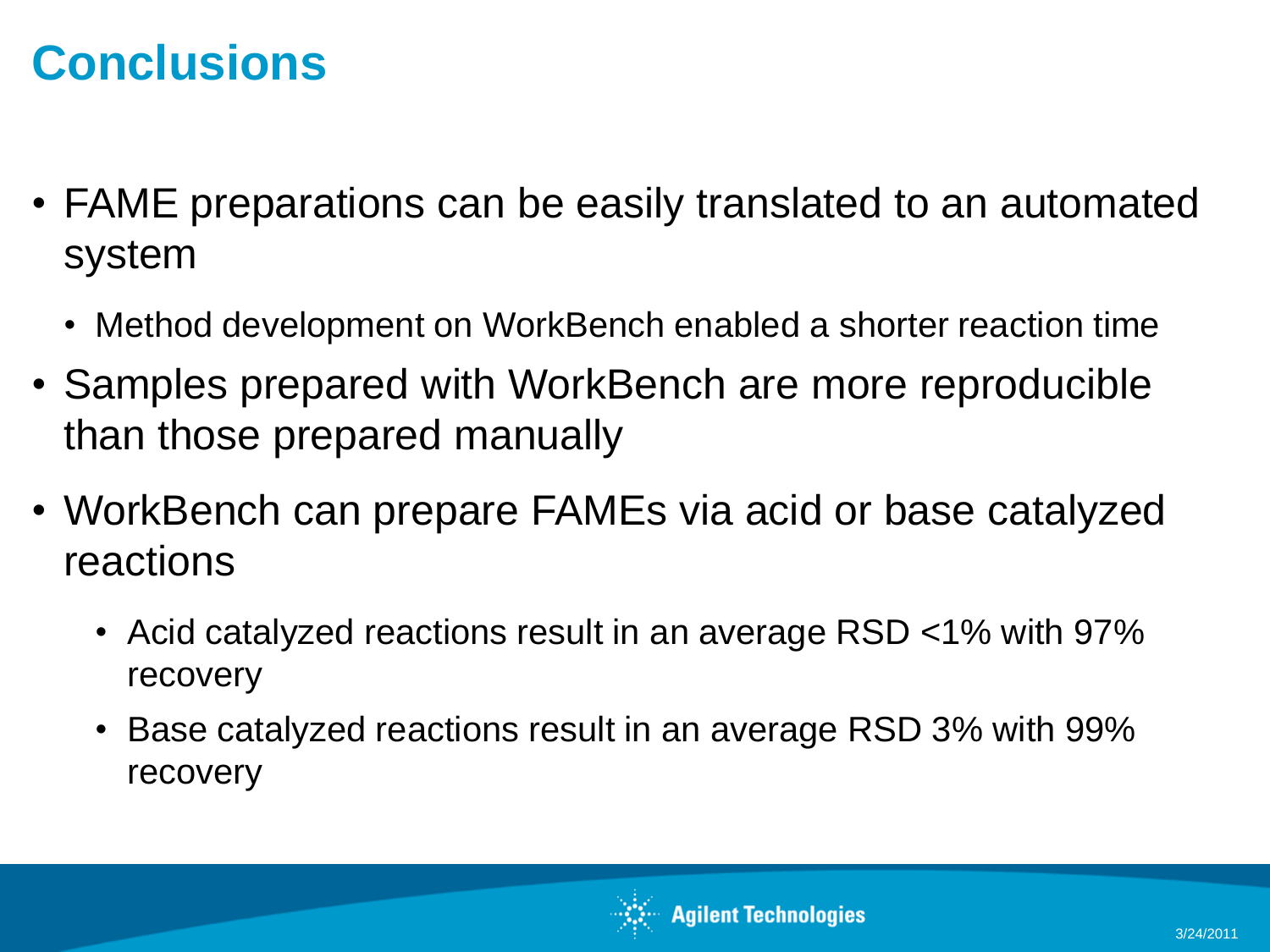#### **Conclusions**

- FAME preparations can be easily translated to an automated system
	- Method development on WorkBench enabled a shorter reaction time
- Samples prepared with WorkBench are more reproducible than those prepared manually
- WorkBench can prepare FAMEs via acid or base catalyzed reactions
	- Acid catalyzed reactions result in an average RSD <1% with 97% recovery
	- Base catalyzed reactions result in an average RSD 3% with 99% recovery

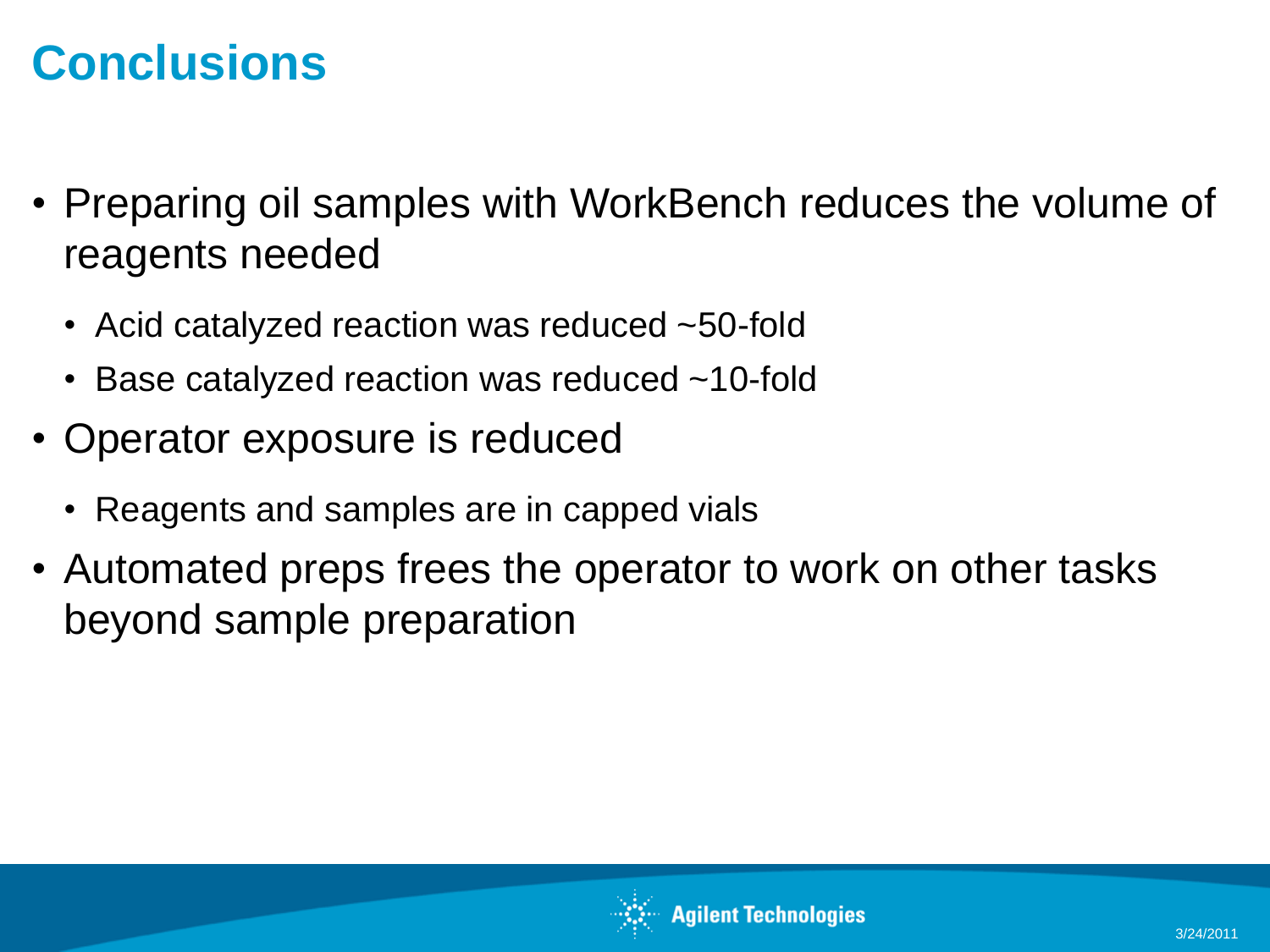#### **Conclusions**

- Preparing oil samples with WorkBench reduces the volume of reagents needed
	- Acid catalyzed reaction was reduced ~50-fold
	- Base catalyzed reaction was reduced ~10-fold
- Operator exposure is reduced
	- Reagents and samples are in capped vials
- Automated preps frees the operator to work on other tasks beyond sample preparation